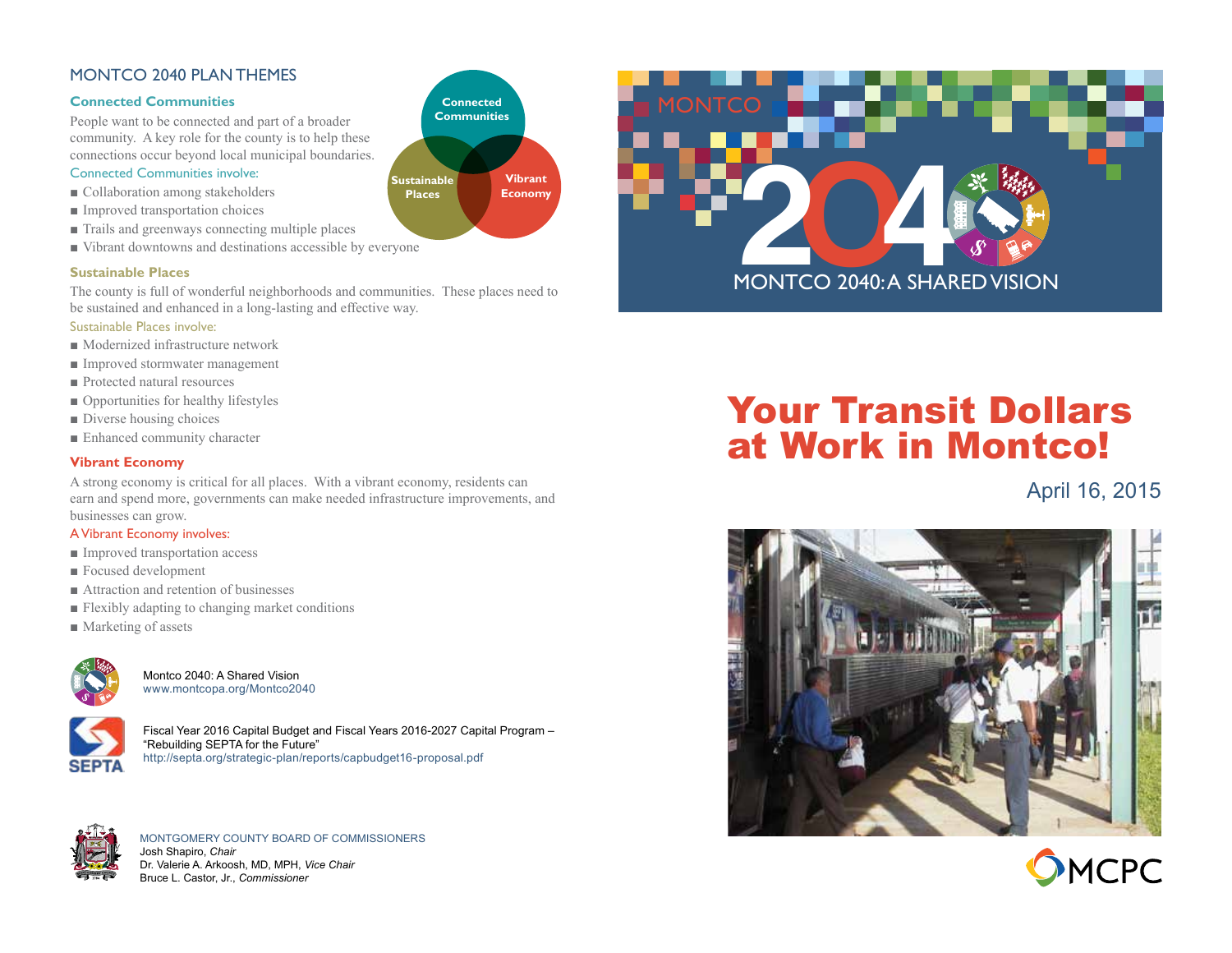### MONTCO 2040 PLAN THEMES

### **Connected Communities**

People want to be connected and part of a broader community. A key role for the county is to help these connections occur beyond local municipal boundaries.

### Connected Communities involve:

- Collaboration among stakeholders
- Improved transportation choices
- Trails and greenways connecting multiple places
- Vibrant downtowns and destinations accessible by everyone

### **Sustainable Places**

The county is full of wonderful neighborhoods and communities. These places need to be sustained and enhanced in a long-lasting and effective way.

### Sustainable Places involve:

- Modernized infrastructure network
- Improved stormwater management
- Protected natural resources
- Opportunities for healthy lifestyles
- Diverse housing choices
- Enhanced community character

### **Vibrant Economy**

A strong economy is critical for all places. With a vibrant economy, residents can earn and spend more, governments can make needed infrastructure improvements, and businesses can grow.

### A Vibrant Economy involves:

- Improved transportation access
- Focused development
- Attraction and retention of businesses
- Flexibly adapting to changing market conditions
- Marketing of assets



Montco 2040: A Shared Vision [www.montcopa.org/Montco2040](http://www.montcopa.org/index.aspx?NID=1579)



Fiscal Year 2016 Capital Budget and Fiscal Years 2016-2027 Capital Program – "Rebuilding SEPTA for the Future" [http://septa.org/strategic-plan/reports/capbudget16-proposal.pdf](http://www.septa.org/index.html)



MONTGOMERY COUNTY BOARD OF COMMISSIONERS Josh Shapiro, *Chair* Dr. Valerie A. Arkoosh, MD, MPH, *Vice Chair* Bruce L. Castor, Jr., *Commissioner*





# Your Transit Dollars at Work in Montco!

### April 16, 2015